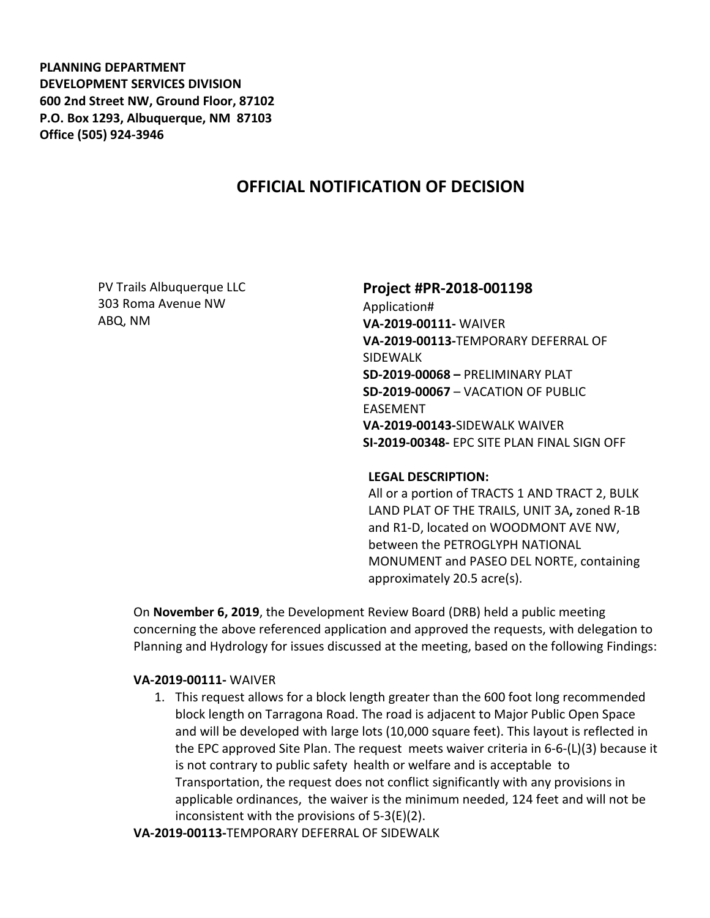**PLANNING DEPARTMENT DEVELOPMENT SERVICES DIVISION 600 2nd Street NW, Ground Floor, 87102 P.O. Box 1293, Albuquerque, NM 87103 Office (505) 924-3946** 

# **OFFICIAL NOTIFICATION OF DECISION**

PV Trails Albuquerque LLC 303 Roma Avenue NW ABQ, NM

### **Project #PR-2018-001198**

Application# **VA-2019-00111-** WAIVER **VA-2019-00113-**TEMPORARY DEFERRAL OF SIDEWALK **SD-2019-00068 –** PRELIMINARY PLAT **SD-2019-00067** – VACATION OF PUBLIC EASEMENT **VA-2019-00143-**SIDEWALK WAIVER **SI-2019-00348-** EPC SITE PLAN FINAL SIGN OFF

#### **LEGAL DESCRIPTION:**

All or a portion of TRACTS 1 AND TRACT 2, BULK LAND PLAT OF THE TRAILS, UNIT 3A**,** zoned R-1B and R1-D, located on WOODMONT AVE NW, between the PETROGLYPH NATIONAL MONUMENT and PASEO DEL NORTE, containing approximately 20.5 acre(s).

On **November 6, 2019**, the Development Review Board (DRB) held a public meeting concerning the above referenced application and approved the requests, with delegation to Planning and Hydrology for issues discussed at the meeting, based on the following Findings:

#### **VA-2019-00111-** WAIVER

1. This request allows for a block length greater than the 600 foot long recommended block length on Tarragona Road. The road is adjacent to Major Public Open Space and will be developed with large lots (10,000 square feet). This layout is reflected in the EPC approved Site Plan. The request meets waiver criteria in 6-6-(L)(3) because it is not contrary to public safety health or welfare and is acceptable to Transportation, the request does not conflict significantly with any provisions in applicable ordinances, the waiver is the minimum needed, 124 feet and will not be inconsistent with the provisions of 5-3(E)(2).

**VA-2019-00113-**TEMPORARY DEFERRAL OF SIDEWALK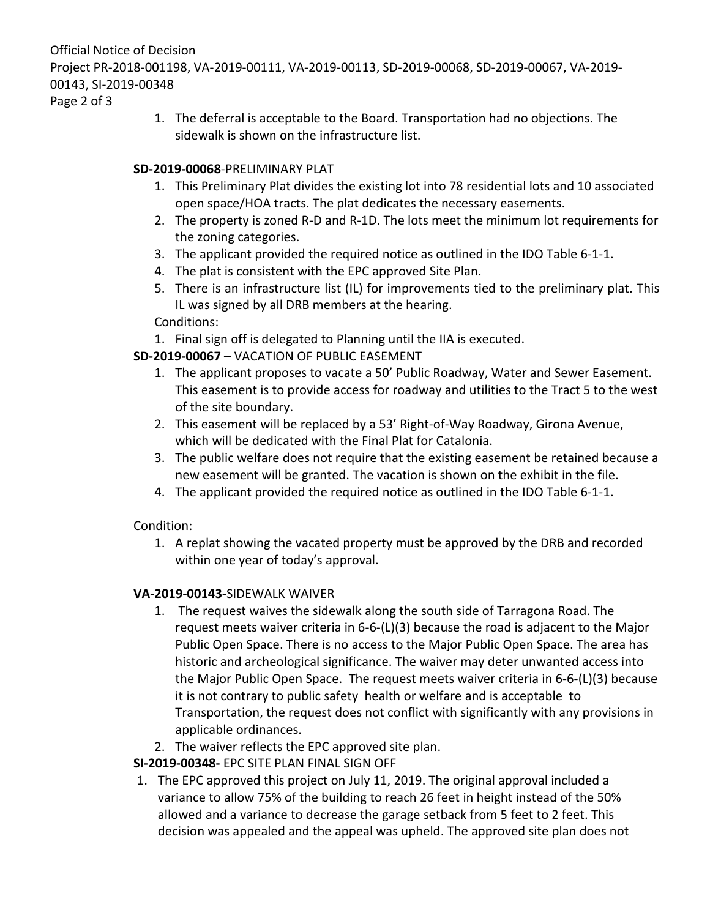Official Notice of Decision

Project PR-2018-001198, VA-2019-00111, VA-2019-00113, SD-2019-00068, SD-2019-00067, VA-2019- 00143, SI-2019-00348

Page 2 of 3

1. The deferral is acceptable to the Board. Transportation had no objections. The sidewalk is shown on the infrastructure list.

### **SD-2019-00068**-PRELIMINARY PLAT

- 1. This Preliminary Plat divides the existing lot into 78 residential lots and 10 associated open space/HOA tracts. The plat dedicates the necessary easements.
- 2. The property is zoned R-D and R-1D. The lots meet the minimum lot requirements for the zoning categories.
- 3. The applicant provided the required notice as outlined in the IDO Table 6-1-1.
- 4. The plat is consistent with the EPC approved Site Plan.
- 5. There is an infrastructure list (IL) for improvements tied to the preliminary plat. This IL was signed by all DRB members at the hearing.

Conditions:

1. Final sign off is delegated to Planning until the IIA is executed.

**SD-2019-00067 –** VACATION OF PUBLIC EASEMENT

- 1. The applicant proposes to vacate a 50' Public Roadway, Water and Sewer Easement. This easement is to provide access for roadway and utilities to the Tract 5 to the west of the site boundary.
- 2. This easement will be replaced by a 53' Right-of-Way Roadway, Girona Avenue, which will be dedicated with the Final Plat for Catalonia.
- 3. The public welfare does not require that the existing easement be retained because a new easement will be granted. The vacation is shown on the exhibit in the file.
- 4. The applicant provided the required notice as outlined in the IDO Table 6-1-1.

Condition:

1. A replat showing the vacated property must be approved by the DRB and recorded within one year of today's approval.

## **VA-2019-00143-**SIDEWALK WAIVER

- 1. The request waives the sidewalk along the south side of Tarragona Road. The request meets waiver criteria in 6-6-(L)(3) because the road is adjacent to the Major Public Open Space. There is no access to the Major Public Open Space. The area has historic and archeological significance. The waiver may deter unwanted access into the Major Public Open Space. The request meets waiver criteria in 6-6-(L)(3) because it is not contrary to public safety health or welfare and is acceptable to Transportation, the request does not conflict with significantly with any provisions in applicable ordinances.
- 2. The waiver reflects the EPC approved site plan.

## **SI-2019-00348-** EPC SITE PLAN FINAL SIGN OFF

1. The EPC approved this project on July 11, 2019. The original approval included a variance to allow 75% of the building to reach 26 feet in height instead of the 50% allowed and a variance to decrease the garage setback from 5 feet to 2 feet. This decision was appealed and the appeal was upheld. The approved site plan does not